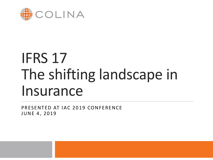

# IFRS 17 The shifting landscape in Insurance

PRESENTED AT IAC 2019 CONFERENCE JUNE 4, 2019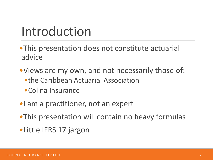#### Introduction

- •This presentation does not constitute actuarial advice
- •Views are my own, and not necessarily those of:
	- •the Caribbean Actuarial Association
	- •Colina Insurance
- •I am a practitioner, not an expert
- •This presentation will contain no heavy formulas
- •Little IFRS 17 jargon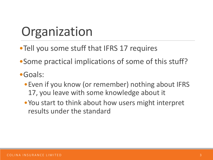## **Organization**

- Tell you some stuff that IFRS 17 requires
- •Some practical implications of some of this stuff?
- •Goals:
	- Even if you know (or remember) nothing about IFRS 17, you leave with some knowledge about it
	- •You start to think about how users might interpret results under the standard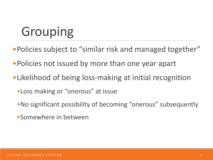- •Policies subject to "similar risk and managed together"
- •Policies not issued by more than one year apart
- •Likelihood of being loss-making at initial recognition
	- •Loss making or "onerous" at issue
	- •No significant possibility of becoming "onerous" subsequently
	- •Somewhere in between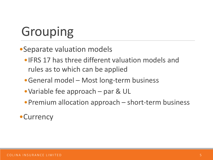•Separate valuation models

- •IFRS 17 has three different valuation models and rules as to which can be applied
- •General model Most long-term business
- •Variable fee approach par & UL
- Premium allocation approach short-term business

#### •Currency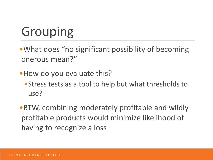- •What does "no significant possibility of becoming onerous mean?"
- How do you evaluate this?
	- •Stress tests as a tool to help but what thresholds to use?
- •BTW, combining moderately profitable and wildly profitable products would minimize likelihood of having to recognize a loss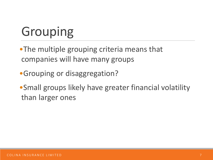•The multiple grouping criteria means that companies will have many groups

•Grouping or disaggregation?

•Small groups likely have greater financial volatility than larger ones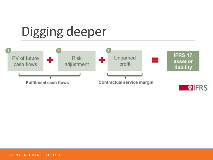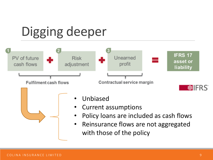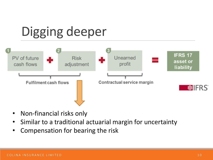

- Non-financial risks only
- Similar to a traditional actuarial margin for uncertainty
- Compensation for bearing the risk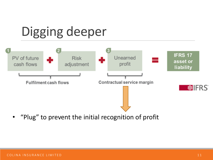

• "Plug" to prevent the initial recognition of profit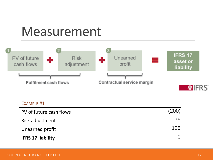#### Measurement



| EXAMPLE #1               |      |
|--------------------------|------|
| PV of future cash flows  | (200 |
| Risk adjustment          | 75   |
| Unearned profit          | 125  |
| <b>IFRS 17 liability</b> |      |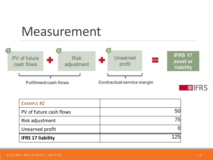#### Measurement



| <b>IFRS 17 liability</b> | 125 |
|--------------------------|-----|
| Unearned profit          |     |
| Risk adjustment          | 75  |
| PV of future cash flows  | 50  |
| EXAMPLE #2               |     |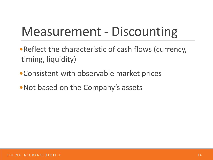## Measurement - Discounting

- •Reflect the characteristic of cash flows (currency, timing, liquidity)
- •Consistent with observable market prices
- •Not based on the Company's assets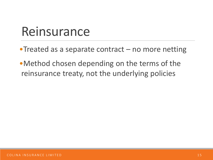#### Reinsurance

- •Treated as a separate contract no more netting
- •Method chosen depending on the terms of the reinsurance treaty, not the underlying policies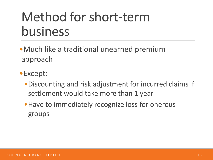### Method for short-term business

•Much like a traditional unearned premium approach

- •Except:
	- •Discounting and risk adjustment for incurred claims if settlement would take more than 1 year
	- •Have to immediately recognize loss for onerous groups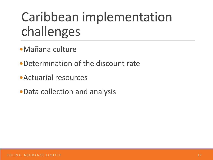## Caribbean implementation challenges

- •Mañana culture
- •Determination of the discount rate
- •Actuarial resources
- •Data collection and analysis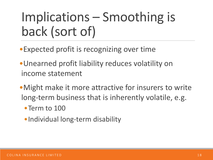## Implications – Smoothing is back (sort of)

- •Expected profit is recognizing over time
- •Unearned profit liability reduces volatility on income statement
- •Might make it more attractive for insurers to write long-term business that is inherently volatile, e.g.
	- •Term to 100
	- •Individual long-term disability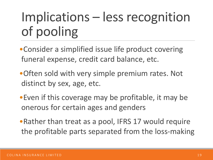## Implications – less recognition of pooling

- Consider a simplified issue life product covering funeral expense, credit card balance, etc.
- •Often sold with very simple premium rates. Not distinct by sex, age, etc.
- •Even if this coverage may be profitable, it may be onerous for certain ages and genders
- •Rather than treat as a pool, IFRS 17 would require the profitable parts separated from the loss-making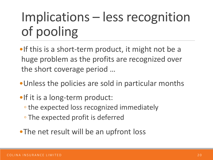## Implications – less recognition of pooling

•If this is a short-term product, it might not be a huge problem as the profits are recognized over the short coverage period …

- •Unless the policies are sold in particular months
- •If it is a long-term product:
	- the expected loss recognized immediately
	- The expected profit is deferred
- •The net result will be an upfront loss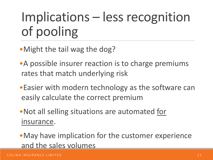## Implications – less recognition of pooling

- •Might the tail wag the dog?
- •A possible insurer reaction is to charge premiums rates that match underlying risk
- •Easier with modern technology as the software can easily calculate the correct premium
- •Not all selling situations are automated for insurance.
- •May have implication for the customer experience and the sales volumes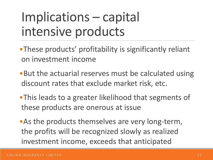## Implications – capital intensive products

- •These products' profitability is significantly reliant on investment income
- •But the actuarial reserves must be calculated using discount rates that exclude market risk, etc.
- •This leads to a greater likelihood that segments of these products are onerous at issue
- •As the products themselves are very long-term, the profits will be recognized slowly as realized investment income, exceeds that anticipated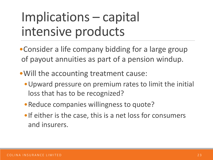## Implications – capital intensive products

- •Consider a life company bidding for a large group of payout annuities as part of a pension windup.
- •Will the accounting treatment cause:
	- •Upward pressure on premium rates to limit the initial loss that has to be recognized?
	- •Reduce companies willingness to quote?
	- •If either is the case, this is a net loss for consumers and insurers.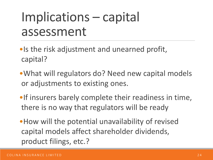#### Implications – capital assessment

- •Is the risk adjustment and unearned profit, capital?
- •What will regulators do? Need new capital models or adjustments to existing ones.
- •If insurers barely complete their readiness in time, there is no way that regulators will be ready

•How will the potential unavailability of revised capital models affect shareholder dividends, product filings, etc.?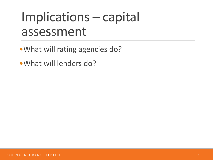#### Implications – capital assessment

- •What will rating agencies do?
- •What will lenders do?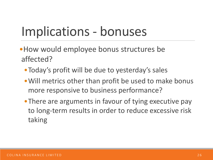## Implications - bonuses

- •How would employee bonus structures be affected?
	- •Today's profit will be due to yesterday's sales
	- •Will metrics other than profit be used to make bonus more responsive to business performance?
	- There are arguments in favour of tying executive pay to long-term results in order to reduce excessive risk taking